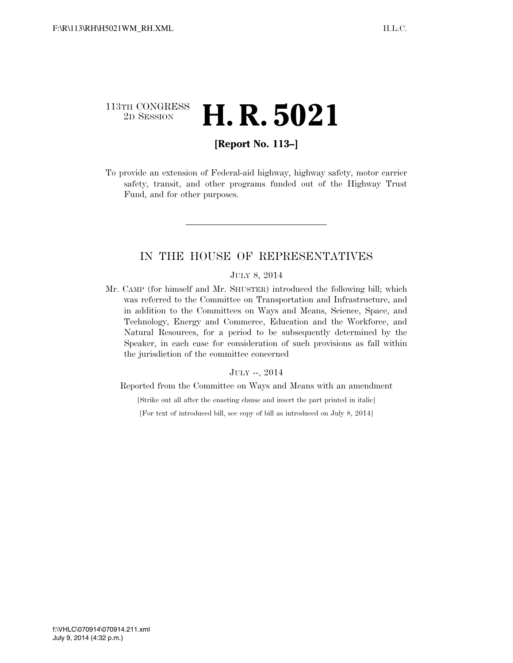## 113TH CONGRESS <sup>2D SESSION</sup> **H. R. 5021**

## **[Report No. 113–]**

To provide an extension of Federal-aid highway, highway safety, motor carrier safety, transit, and other programs funded out of the Highway Trust Fund, and for other purposes.

### IN THE HOUSE OF REPRESENTATIVES

#### JULY 8, 2014

Mr. CAMP (for himself and Mr. SHUSTER) introduced the following bill; which was referred to the Committee on Transportation and Infrastructure, and in addition to the Committees on Ways and Means, Science, Space, and Technology, Energy and Commerce, Education and the Workforce, and Natural Resources, for a period to be subsequently determined by the Speaker, in each case for consideration of such provisions as fall within the jurisdiction of the committee concerned

#### JULY --, 2014

Reported from the Committee on Ways and Means with an amendment

[Strike out all after the enacting clause and insert the part printed in italic]

[For text of introduced bill, see copy of bill as introduced on July 8, 2014]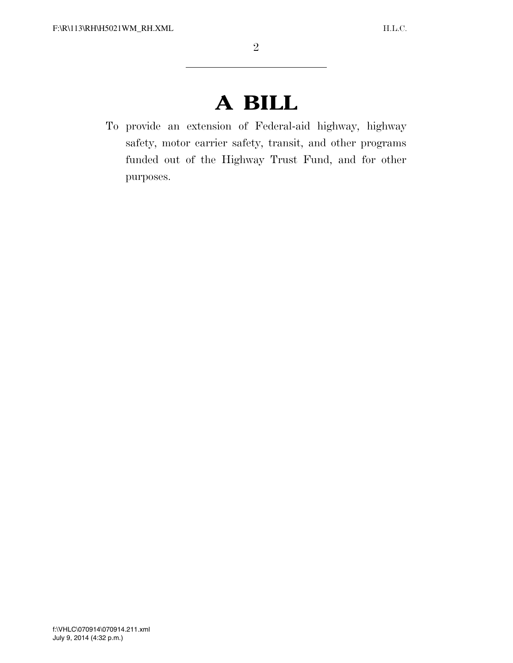# **A BILL**

To provide an extension of Federal-aid highway, highway safety, motor carrier safety, transit, and other programs funded out of the Highway Trust Fund, and for other purposes.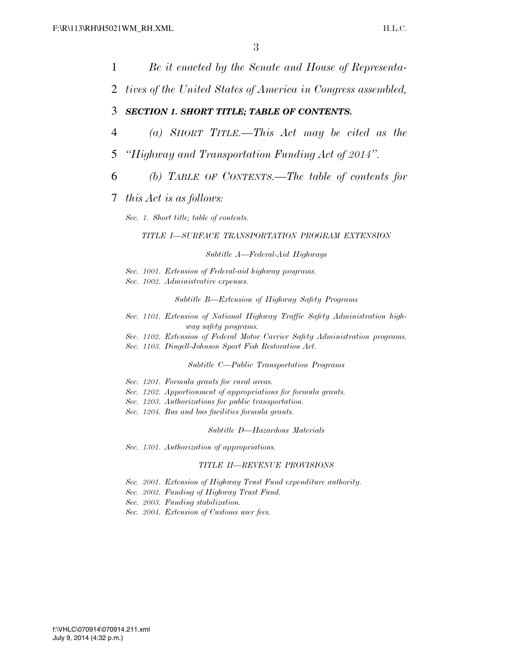1 *Be it enacted by the Senate and House of Representa-*2 *tives of the United States of America in Congress assembled,*  3 *SECTION 1. SHORT TITLE; TABLE OF CONTENTS.*  4 *(a) SHORT TITLE.—This Act may be cited as the*  5 *''Highway and Transportation Funding Act of 2014''.*  6 *(b) TABLE OF CONTENTS.—The table of contents for*  7 *this Act is as follows: Sec. 1. Short title; table of contents. TITLE I—SURFACE TRANSPORTATION PROGRAM EXTENSION Subtitle A—Federal-Aid Highways Sec. 1001. Extension of Federal-aid highway programs. Sec. 1002. Administrative expenses. Subtitle B—Extension of Highway Safety Programs Sec. 1101. Extension of National Highway Traffic Safety Administration highway safety programs. Sec. 1102. Extension of Federal Motor Carrier Safety Administration programs. Sec. 1103. Dingell-Johnson Sport Fish Restoration Act. Subtitle C—Public Transportation Programs Sec. 1201. Formula grants for rural areas. Sec. 1202. Apportionment of appropriations for formula grants. Sec. 1203. Authorizations for public transportation. Sec. 1204. Bus and bus facilities formula grants. Subtitle D—Hazardous Materials Sec. 1301. Authorization of appropriations. TITLE II—REVENUE PROVISIONS Sec. 2001. Extension of Highway Trust Fund expenditure authority. Sec. 2002. Funding of Highway Trust Fund. Sec. 2003. Funding stabilization. Sec. 2004. Extension of Customs user fees.*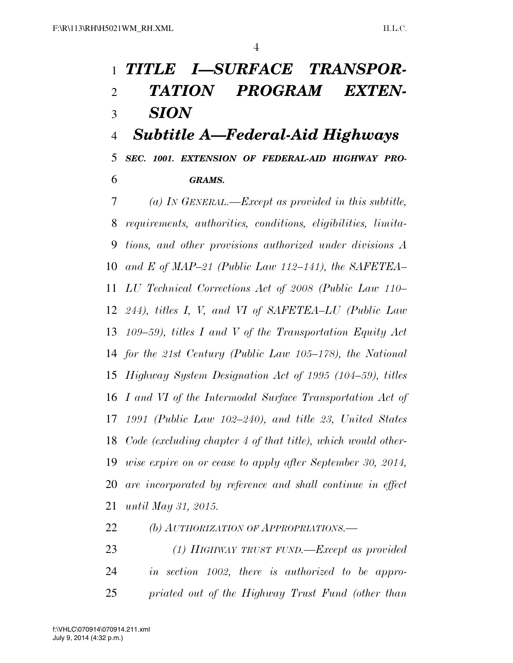## *TITLE I—SURFACE TRANSPOR- TATION PROGRAM EXTEN- SION Subtitle A—Federal-Aid Highways*

 *SEC. 1001. EXTENSION OF FEDERAL-AID HIGHWAY PRO-GRAMS.* 

 *(a) IN GENERAL.—Except as provided in this subtitle, requirements, authorities, conditions, eligibilities, limita- tions, and other provisions authorized under divisions A and E of MAP–21 (Public Law 112–141), the SAFETEA– LU Technical Corrections Act of 2008 (Public Law 110– 244), titles I, V, and VI of SAFETEA–LU (Public Law 109–59), titles I and V of the Transportation Equity Act for the 21st Century (Public Law 105–178), the National Highway System Designation Act of 1995 (104–59), titles I and VI of the Intermodal Surface Transportation Act of 1991 (Public Law 102–240), and title 23, United States Code (excluding chapter 4 of that title), which would other- wise expire on or cease to apply after September 30, 2014, are incorporated by reference and shall continue in effect until May 31, 2015.* 

*(b) AUTHORIZATION OF APPROPRIATIONS.—* 

 *(1) HIGHWAY TRUST FUND.—Except as provided in section 1002, there is authorized to be appro-priated out of the Highway Trust Fund (other than*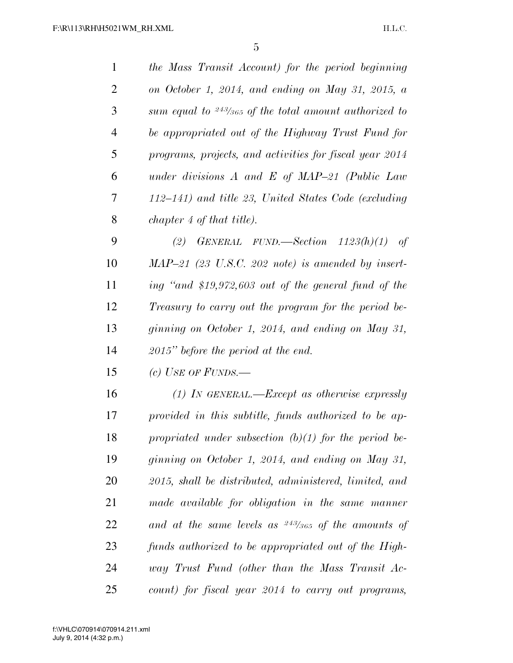| $\mathbf{1}$   | the Mass Transit Account) for the period beginning       |
|----------------|----------------------------------------------------------|
| $\overline{2}$ | on October 1, 2014, and ending on May 31, 2015, a        |
| 3              | sum equal to $243/365$ of the total amount authorized to |
| $\overline{4}$ | be appropriated out of the Highway Trust Fund for        |
| 5              | programs, projects, and activities for fiscal year 2014  |
| 6              | under divisions $A$ and $E$ of MAP-21 (Public Law        |
| $\tau$         | 112–141) and title 23, United States Code (excluding     |
| 8              | chapter 4 of that title).                                |
| 9              | GENERAL FUND.—Section $1123(h)(1)$ of<br>(2)             |
| 10             | $MAP-21$ (23 U.S.C. 202 note) is amended by insert-      |
| 11             | ing "and \$19,972,603 out of the general fund of the     |
| 12             | Treasury to carry out the program for the period be-     |
| 13             | ginning on October 1, 2014, and ending on May 31,        |
| 14             | $2015"$ before the period at the end.                    |
| 15             | (c) USE OF FUNDS.—                                       |
| 16             | $(1)$ IN GENERAL.—Except as otherwise expressly          |
| 17             | provided in this subtitle, funds authorized to be ap-    |
| 18             | propriated under subsection (b)(1) for the period be-    |
| 19             | ginning on October 1, 2014, and ending on May 31,        |
| 20             | 2015, shall be distributed, administered, limited, and   |
| 21             | made available for obligation in the same manner         |
| 22             | and at the same levels as $243/365$ of the amounts of    |
| 23             | funds authorized to be appropriated out of the High-     |
| 24             | way Trust Fund (other than the Mass Transit Ac-          |
| 25             | count) for fiscal year 2014 to carry out programs,       |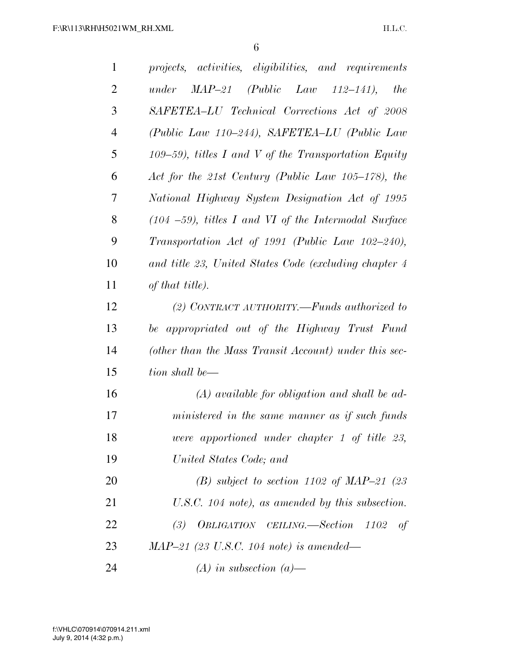| $\mathbf{1}$   | projects, activities, eligibilities, and requirements    |
|----------------|----------------------------------------------------------|
| $\overline{2}$ | $MAP-21$ (Public Law 112-141),<br><i>the</i><br>under    |
| 3              | SAFETEA-LU Technical Corrections Act of 2008             |
| $\overline{4}$ | (Public Law 110–244), SAFETEA–LU (Public Law             |
| 5              | $109-59$ , titles I and V of the Transportation Equity   |
| 6              | Act for the 21st Century (Public Law 105–178), the       |
| 7              | National Highway System Designation Act of 1995          |
| 8              | $(104 - 59)$ , titles I and VI of the Intermodal Surface |
| 9              | Transportation Act of 1991 (Public Law 102-240),         |
| 10             | and title 23, United States Code (excluding chapter 4    |
| 11             | of that title).                                          |
| 12             | (2) CONTRACT AUTHORITY.—Funds authorized to              |
| 13             | be appropriated out of the Highway Trust Fund            |
| 14             | (other than the Mass Transit Account) under this sec-    |
| 15             | tion shall be—                                           |
| 16             | $(A)$ available for obligation and shall be ad-          |
| 17             | ministered in the same manner as if such funds           |
| 18             | were apportioned under chapter 1 of title 23,            |
| 19             | United States Code; and                                  |
| 20             | (B) subject to section 1102 of MAP-21 (23)               |
| 21             | U.S.C. 104 note), as amended by this subsection.         |
| 22             | (3) OBLIGATION CEILING.—Section 1102<br>of               |
| 23             | $MAP-21$ (23 U.S.C. 104 note) is amended—                |
| 24             | $(A)$ in subsection $(a)$ —                              |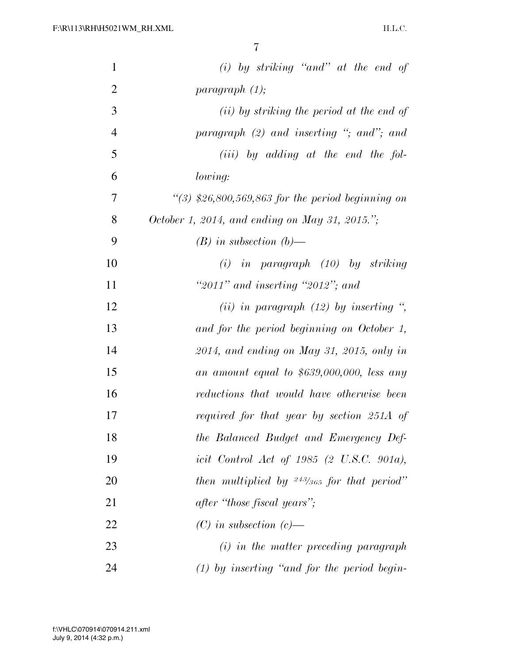| $\mathbf{1}$   | $(i)$ by striking "and" at the end of                 |
|----------------|-------------------------------------------------------|
| $\overline{2}$ | paragnah (1);                                         |
| 3              | ( <i>ii</i> ) by striking the period at the end of    |
| $\overline{4}$ | paragraph $(2)$ and inserting "; and"; and            |
| 5              | $(iii)$ by adding at the end the fol-                 |
| 6              | <i>lowing:</i>                                        |
| $\overline{7}$ | $\lq(3)$ \$26,800,569,863 for the period beginning on |
| 8              | October 1, 2014, and ending on May 31, 2015.";        |
| 9              | $(B)$ in subsection $(b)$ —                           |
| 10             | $(i)$ in paragraph $(10)$ by striking                 |
| 11             | "2011" and inserting "2012"; and                      |
| 12             | (ii) in paragraph $(12)$ by inserting ",              |
| 13             | and for the period beginning on October 1,            |
| 14             | $2014$ , and ending on May 31, 2015, only in          |
| 15             | an amount equal to $$639,000,000,$ less any           |
| 16             | reductions that would have otherwise been             |
| 17             | required for that year by section 251A of             |
| 18             | the Balanced Budget and Emergency Def-                |
| 19             | icit Control Act of 1985 $(2 \text{ U.S.C. } 901a)$ , |
| 20             | then multiplied by $243/365$ for that period"         |
| 21             | after "those fiscal years";                           |
| 22             | $(C)$ in subsection $(c)$ —                           |
| 23             | $(i)$ in the matter preceding paragraph               |
| 24             | $(1)$ by inserting "and for the period begin-         |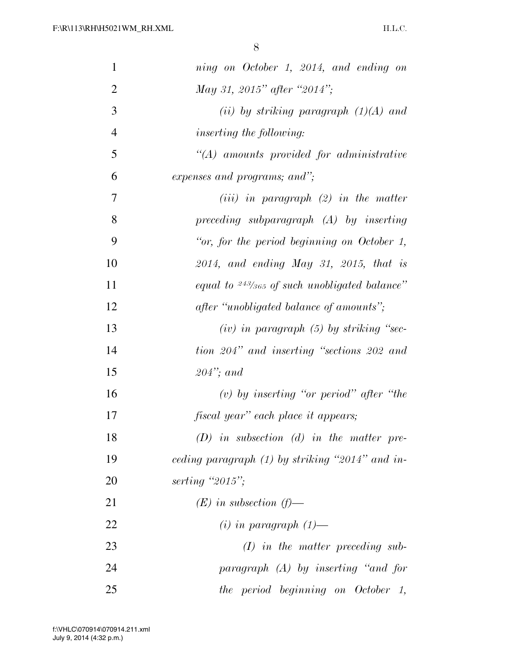| $\mathbf{1}$   | ning on October 1, 2014, and ending on               |
|----------------|------------------------------------------------------|
| $\overline{2}$ | May 31, 2015" after "2014";                          |
| 3              | (ii) by striking paragraph $(1)(A)$ and              |
| $\overline{4}$ | <i>inserting the following:</i>                      |
| 5              | $\lq (A)$ amounts provided for administrative        |
| 6              | expenses and programs; and";                         |
| 7              | $(iii)$ in paragraph $(2)$ in the matter             |
| 8              | $preceding \,subparagraph \, (A) \, by \, inserting$ |
| 9              | "or, for the period beginning on October 1,          |
| 10             | $2014$ , and ending May 31, 2015, that is            |
| 11             | equal to $243/365$ of such unobligated balance"      |
| 12             | after "unobligated balance of amounts";              |
| 13             | $(iv)$ in paragraph $(5)$ by striking "sec-          |
| 14             | tion 204" and inserting "sections 202 and            |
| 15             | $204$ "; and                                         |
| 16             | (v) by inserting "or period" after "the              |
| 17             | fiscal year" each place it appears;                  |
| 18             | $(D)$ in subsection $(d)$ in the matter pre-         |
| 19             | ceding paragraph $(1)$ by striking "2014" and in-    |
| 20             | serting " $2015$ ";                                  |
| 21             | $(E)$ in subsection $(f)$ —                          |
| 22             | $(i)$ in paragraph $(1)$ —                           |
| 23             | $(I)$ in the matter preceding sub-                   |
| 24             | paragraph (A) by inserting "and for                  |
| 25             | the period beginning on October 1,                   |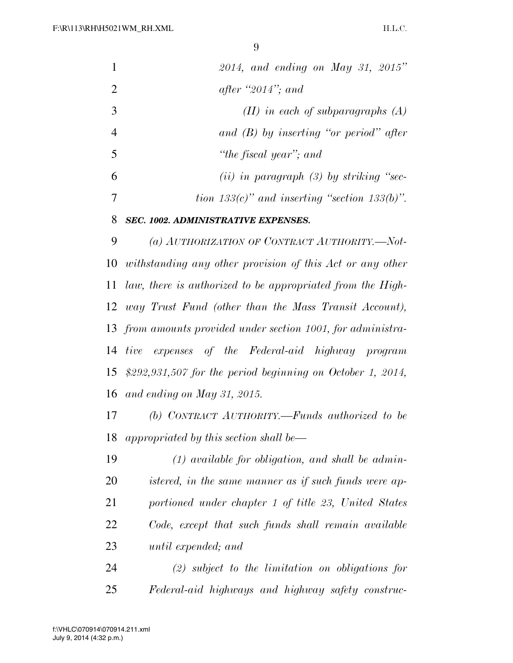$\Omega$ 

| 1              | $2014$ , and ending on May 31, 2015"                           |
|----------------|----------------------------------------------------------------|
| $\overline{2}$ | after "2014"; and                                              |
| 3              | $(II)$ in each of subparagraphs $(A)$                          |
| $\overline{4}$ | and $(B)$ by inserting "or period" after                       |
| 5              | "the fiscal year"; and                                         |
| 6              | (ii) in paragraph $(3)$ by striking "sec-                      |
| 7              | tion 133(c)" and inserting "section 133(b)".                   |
| 8              | SEC. 1002. ADMINISTRATIVE EXPENSES.                            |
| 9              | (a) AUTHORIZATION OF CONTRACT AUTHORITY.-Not-                  |
| 10             | withstanding any other provision of this Act or any other      |
| 11             | law, there is authorized to be appropriated from the High-     |
|                | 12 way Trust Fund (other than the Mass Transit Account),       |
|                | 13 from amounts provided under section 1001, for administra-   |
| 14             | tive expenses of the Federal-aid highway program               |
|                | 15 $$292,931,507$ for the period beginning on October 1, 2014, |
| 16             | and ending on May 31, 2015.                                    |
| 17             | (b) CONTRACT AUTHORITY.—Funds authorized to be                 |
| 18             | appropriated by this section shall be—                         |
| 19             | $(1)$ available for obligation, and shall be admin-            |
| 20             | istered, in the same manner as if such funds were ap-          |
| 21             | portioned under chapter 1 of title 23, United States           |
|                |                                                                |

 *Code, except that such funds shall remain available until expended; and* 

 *(2) subject to the limitation on obligations for Federal-aid highways and highway safety construc-*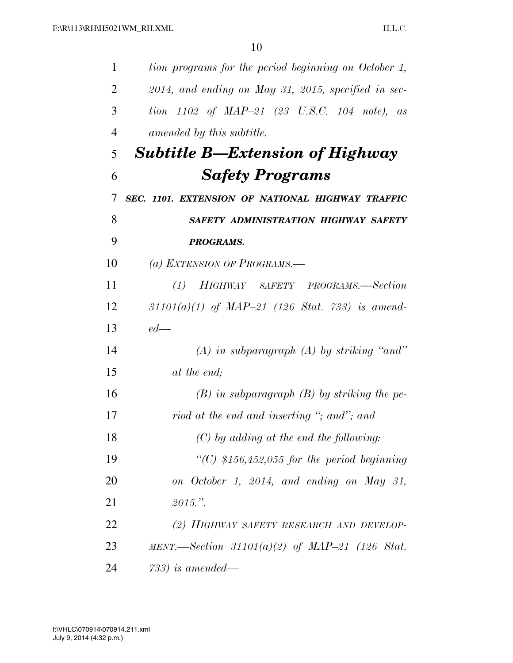| $\mathbf{1}$   | tion programs for the period beginning on October 1,                |
|----------------|---------------------------------------------------------------------|
| $\overline{2}$ | $2014$ , and ending on May 31, 2015, specified in sec-              |
| 3              | tion $1102$ of $MAP-21$ $(23 \text{ U.S.C. } 104 \text{ note}),$ as |
| $\overline{4}$ | amended by this subtitle.                                           |
| 5              | <b>Subtitle B—Extension of Highway</b>                              |
| 6              | <b>Safety Programs</b>                                              |
| 7              | SEC. 1101. EXTENSION OF NATIONAL HIGHWAY TRAFFIC                    |
| 8              | SAFETY ADMINISTRATION HIGHWAY SAFETY                                |
| 9              | <b>PROGRAMS.</b>                                                    |
| 10             | (a) EXTENSION OF PROGRAMS.—                                         |
| 11             | (1) HIGHWAY SAFETY PROGRAMS.—Section                                |
| 12             | $31101(a)(1)$ of MAP-21 (126 Stat. 733) is amend-                   |
| 13             | $ed$ —                                                              |
| 14             | $(A)$ in subparagraph $(A)$ by striking "and"                       |
| 15             | at the end;                                                         |
| 16             | $(B)$ in subparagraph $(B)$ by striking the pe-                     |
| 17             | riod at the end and inserting "; and"; and                          |
| 18             | $(C)$ by adding at the end the following:                           |
| 19             | "(C) $$156,452,055$ for the period beginning                        |
| 20             | on October 1, 2014, and ending on May 31,                           |
| 21             | 2015."                                                              |
| 22             | (2) HIGHWAY SAFETY RESEARCH AND DEVELOP-                            |
| 23             | MENT.—Section 31101(a)(2) of MAP-21 (126 Stat.                      |
| 24             | $733)$ is amended—                                                  |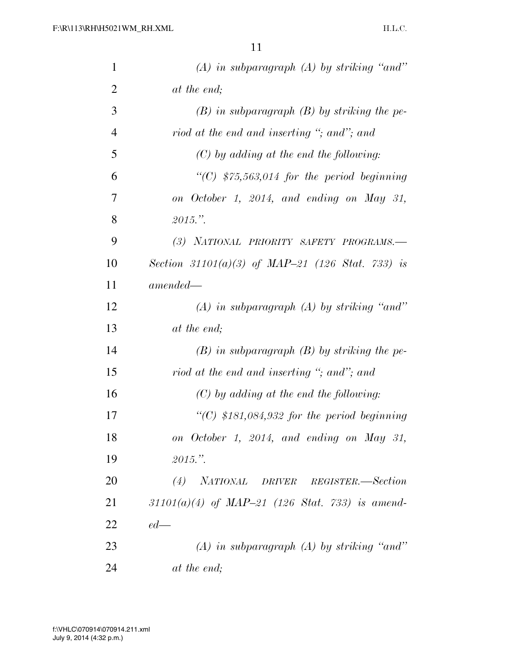| $\mathbf{1}$   | $(A)$ in subparagraph $(A)$ by striking "and"     |
|----------------|---------------------------------------------------|
| $\overline{2}$ | at the end;                                       |
| 3              | $(B)$ in subparagraph $(B)$ by striking the pe-   |
| $\overline{4}$ | riod at the end and inserting "; and"; and        |
| 5              | $(C)$ by adding at the end the following:         |
| 6              | "(C) $$75,563,014$ for the period beginning       |
| 7              | on October 1, 2014, and ending on May 31,         |
| 8              | 2015."                                            |
| 9              | (3) NATIONAL PRIORITY SAFETY PROGRAMS.-           |
| 10             | Section 31101(a)(3) of MAP-21 (126 Stat. 733) is  |
| 11             | $amended -$                                       |
| 12             | $(A)$ in subparagraph $(A)$ by striking "and"     |
| 13             | at the end;                                       |
| 14             | $(B)$ in subparagraph $(B)$ by striking the pe-   |
| 15             | riod at the end and inserting "; and"; and        |
| 16             | $(C)$ by adding at the end the following:         |
| 17             | "(C) $$181,084,932$ for the period beginning      |
| 18             | on October 1, 2014, and ending on May 31,         |
| 19             | 2015."                                            |
| 20             | (4) NATIONAL DRIVER REGISTER.—Section             |
| 21             | $31101(a)(4)$ of MAP-21 (126 Stat. 733) is amend- |
| 22             | $ed$ —                                            |
| 23             | $(A)$ in subparagraph $(A)$ by striking "and"     |
| 24             | at the end;                                       |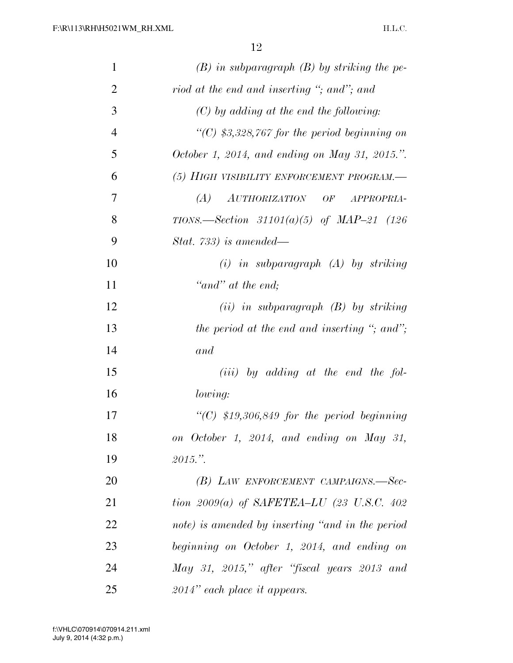| 1              | $(B)$ in subparagraph $(B)$ by striking the pe-       |
|----------------|-------------------------------------------------------|
| $\overline{2}$ | riod at the end and inserting "; and"; and            |
| 3              | $(C)$ by adding at the end the following:             |
| $\overline{4}$ | "(C) \$3,328,767 for the period beginning on          |
| 5              | October 1, 2014, and ending on May 31, 2015.".        |
| 6              | (5) HIGH VISIBILITY ENFORCEMENT PROGRAM.-             |
| 7              | (A)<br>AUTHORIZATION OF<br>APPROPRIA-                 |
| 8              | TIONS.—Section 31101(a)(5) of MAP-21 (126             |
| 9              | Stat. 733) is amended—                                |
| 10             | $(i)$ in subparagraph $(A)$ by striking               |
| 11             | "and" at the end;                                     |
| 12             | $(ii)$ in subparagraph $(B)$ by striking              |
| 13             | the period at the end and inserting "; and";          |
| 14             | and                                                   |
| 15             | $(iii)$ by adding at the end the fol-                 |
| 16             | <i>lowing:</i>                                        |
| 17             | $\lq$ (C) \$19,306,849 for the period beginning       |
| 18             | on October 1, 2014, and ending on May 31,             |
| 19             | 2015."                                                |
| 20             | (B) LAW ENFORCEMENT CAMPAIGNS.-Sec-                   |
| 21             | tion 2009(a) of SAFETEA-LU $(23 \text{ U.S.C. } 402)$ |
| 22             | note) is amended by inserting "and in the period      |
| 23             | beginning on October 1, 2014, and ending on           |
| 24             | May 31, 2015," after "fiscal years 2013 and           |
| 25             | $2014$ " each place it appears.                       |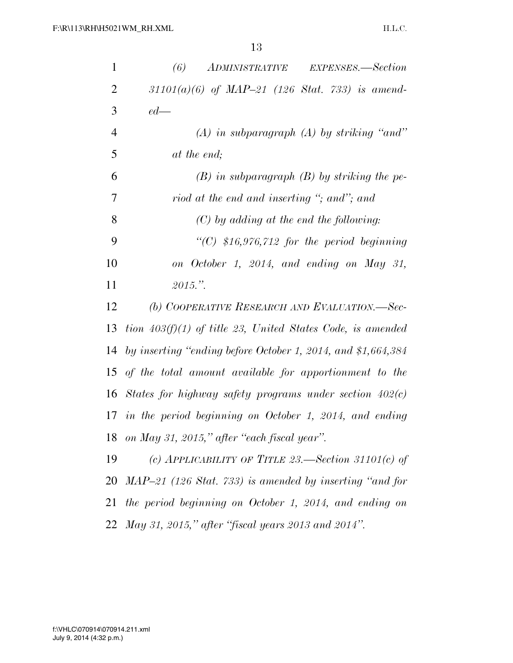| $\mathbf{1}$   | (6)<br>ADMINISTRATIVE<br>EXPENSES.—Section                   |
|----------------|--------------------------------------------------------------|
| $\overline{2}$ | $31101(a)(6)$ of MAP-21 (126 Stat. 733) is amend-            |
| 3              | $ed$ —                                                       |
| $\overline{4}$ | $(A)$ in subparagraph $(A)$ by striking "and"                |
| 5              | at the end;                                                  |
| 6              | $(B)$ in subparagraph $(B)$ by striking the pe-              |
| 7              | riod at the end and inserting "; and"; and                   |
| 8              | $(C)$ by adding at the end the following:                    |
| 9              | "(C) $$16,976,712$ for the period beginning                  |
| 10             | on October 1, 2014, and ending on May 31,                    |
| 11             | 2015."                                                       |
| 12             | (b) COOPERATIVE RESEARCH AND EVALUATION.—Sec-                |
| 13             | tion $403(f)(1)$ of title 23, United States Code, is amended |
| 14             | by inserting "ending before October 1, 2014, and \$1,664,384 |
| 15             | of the total amount available for apportionment to the       |
| 16             | States for highway safety programs under section $402(c)$    |
| 17             | in the period beginning on October 1, 2014, and ending       |
| 18             | on May 31, 2015," after "each fiscal year".                  |
| 19             | (c) APPLICABILITY OF TITLE 23.—Section 31101(c) of           |
| 20             | MAP-21 (126 Stat. 733) is amended by inserting "and for      |
| 21             | the period beginning on October 1, 2014, and ending on       |
| 22             | May 31, 2015," after "fiscal years 2013 and 2014".           |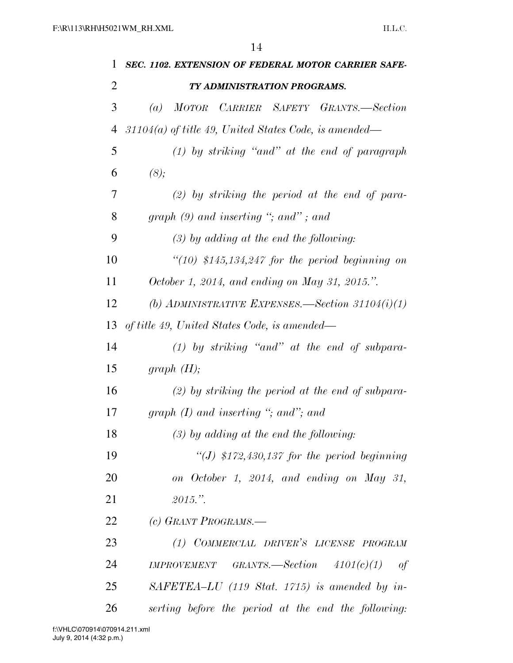| 1              | SEC. 1102. EXTENSION OF FEDERAL MOTOR CARRIER SAFE-                 |
|----------------|---------------------------------------------------------------------|
| $\overline{2}$ | TY ADMINISTRATION PROGRAMS.                                         |
| 3              | MOTOR CARRIER SAFETY GRANTS.-Section<br>$\left( a\right)$           |
| 4              | $31104(a)$ of title 49, United States Code, is amended—             |
| 5              | $(1)$ by striking "and" at the end of paragraph                     |
| 6              | (8);                                                                |
| 7              | $(2)$ by striking the period at the end of para-                    |
| 8              | graph $(9)$ and inserting "; and"; and                              |
| 9              | $(3)$ by adding at the end the following:                           |
| 10             | $\lq(10)$ \$145,134,247 for the period beginning on                 |
| 11             | October 1, 2014, and ending on May 31, 2015.".                      |
| 12             | (b) ADMINISTRATIVE EXPENSES.—Section 31104 $(i)(1)$                 |
| 13             | of title 49, United States Code, is amended—                        |
| 14             | $(1)$ by striking "and" at the end of subpara-                      |
| 15             | graph $(H);$                                                        |
| 16             | $(2)$ by striking the period at the end of subpara-                 |
| 17             | graph $(I)$ and inserting "; and"; and                              |
| 18             | $(3)$ by adding at the end the following:                           |
| 19             | "(J) $$172,430,137$ for the period beginning                        |
| 20             | on October 1, 2014, and ending on May 31,                           |
| 21             | 2015."                                                              |
| 22             | (c) GRANT PROGRAMS.—                                                |
| 23             | (1) COMMERCIAL DRIVER'S LICENSE PROGRAM                             |
| 24             | $IMPROVEMENT \quad GRANTS. \text{—Section} \quad 4101(c)(1)$<br>-of |
| 25             | SAFETEA-LU (119 Stat. 1715) is amended by in-                       |
| 26             | serting before the period at the end the following:                 |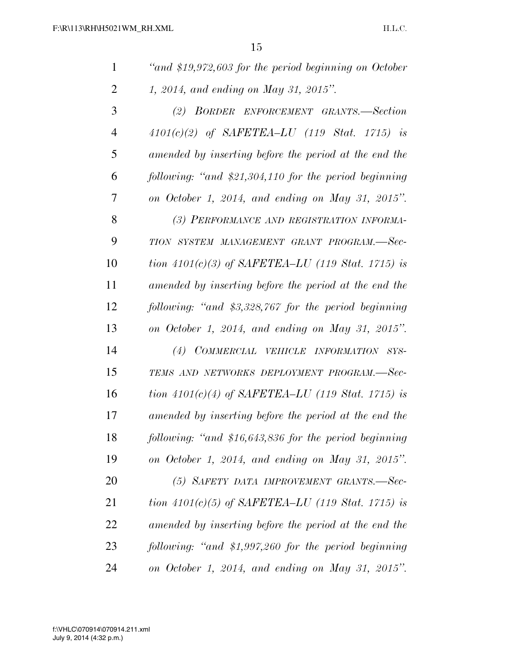| 1              | "and \$19,972,603 for the period beginning on October  |
|----------------|--------------------------------------------------------|
| $\overline{2}$ | 1, 2014, and ending on May 31, 2015".                  |
| 3              | (2) BORDER ENFORCEMENT GRANTS.-Section                 |
| 4              | $4101(c)(2)$ of SAFETEA-LU (119 Stat. 1715) is         |
| 5              | amended by inserting before the period at the end the  |
| 6              | following: "and \$21,304,110 for the period beginning  |
| 7              | on October 1, 2014, and ending on May 31, 2015".       |
| 8              | (3) PERFORMANCE AND REGISTRATION INFORMA-              |
| 9              | TION SYSTEM MANAGEMENT GRANT PROGRAM.-Sec-             |
| 10             | tion $4101(c)(3)$ of SAFETEA-LU (119 Stat. 1715) is    |
| 11             | amended by inserting before the period at the end the  |
| 12             | following: "and \$3,328,767 for the period beginning   |
| 13             | on October 1, 2014, and ending on May 31, 2015".       |
| 14             | (4) COMMERCIAL VEHICLE INFORMATION SYS-                |
| 15             | TEMS AND NETWORKS DEPLOYMENT PROGRAM.-Sec-             |
| 16             | tion $4101(c)(4)$ of SAFETEA-LU (119 Stat. 1715) is    |
| 17             | amended by inserting before the period at the end the  |
| 18             | following: "and $$16,643,836$ for the period beginning |
| 19             | on October 1, 2014, and ending on May 31, 2015".       |
| 20             | (5) SAFETY DATA IMPROVEMENT GRANTS.-Sec-               |
| 21             | tion 4101(c)(5) of SAFETEA–LU (119 Stat. 1715) is      |
| 22             | amended by inserting before the period at the end the  |
| 23             | following: "and \$1,997,260 for the period beginning   |
| 24             | on October 1, 2014, and ending on May 31, 2015".       |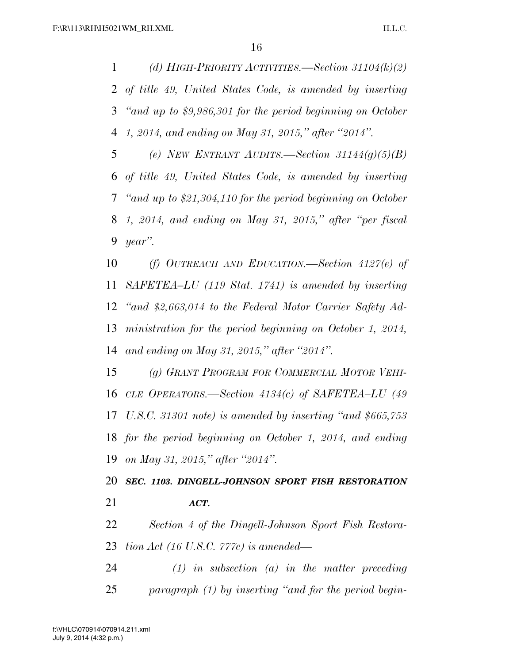*(d) HIGH-PRIORITY ACTIVITIES.—Section 31104(k)(2) of title 49, United States Code, is amended by inserting ''and up to \$9,986,301 for the period beginning on October 1, 2014, and ending on May 31, 2015,'' after ''2014''.* 

 *(e) NEW ENTRANT AUDITS.—Section 31144(g)(5)(B) of title 49, United States Code, is amended by inserting ''and up to \$21,304,110 for the period beginning on October 1, 2014, and ending on May 31, 2015,'' after ''per fiscal year''.* 

 *(f) OUTREACH AND EDUCATION.—Section 4127(e) of SAFETEA–LU (119 Stat. 1741) is amended by inserting ''and \$2,663,014 to the Federal Motor Carrier Safety Ad- ministration for the period beginning on October 1, 2014, and ending on May 31, 2015,'' after ''2014''.* 

 *(g) GRANT PROGRAM FOR COMMERCIAL MOTOR VEHI- CLE OPERATORS.—Section 4134(c) of SAFETEA–LU (49 U.S.C. 31301 note) is amended by inserting ''and \$665,753 for the period beginning on October 1, 2014, and ending on May 31, 2015,'' after ''2014''.* 

 *SEC. 1103. DINGELL-JOHNSON SPORT FISH RESTORATION ACT.* 

 *Section 4 of the Dingell-Johnson Sport Fish Restora-tion Act (16 U.S.C. 777c) is amended—* 

 *(1) in subsection (a) in the matter preceding paragraph (1) by inserting ''and for the period begin-*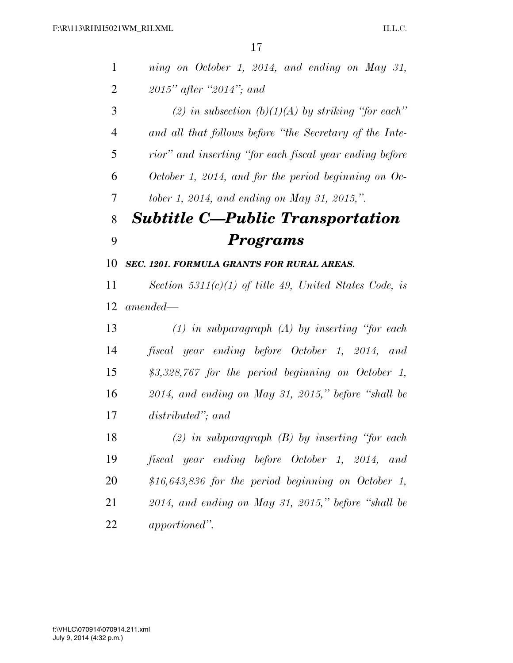| $\mathbf{1}$   | ning on October 1, 2014, and ending on May 31,          |
|----------------|---------------------------------------------------------|
| $\overline{2}$ | 2015" after "2014"; and                                 |
| 3              | (2) in subsection (b)(1)(A) by striking "for each"      |
| $\overline{4}$ | and all that follows before "the Secretary of the Inte- |
| 5              | rior" and inserting "for each fiscal year ending before |
| 6              | October 1, 2014, and for the period beginning on Oc-    |
| 7              | tober 1, 2014, and ending on May 31, 2015,".            |
| 8              | <b>Subtitle C-Public Transportation</b>                 |
| 9              | Programs                                                |
| 10             | SEC. 1201. FORMULA GRANTS FOR RURAL AREAS.              |
| 11             | Section 5311(c)(1) of title 49, United States Code, is  |
| 12             | $amended-$                                              |
| 13             | $(1)$ in subparagraph $(A)$ by inserting "for each      |
| 14             | fiscal year ending before October 1, 2014, and          |
| 15             | $$3,328,767$ for the period beginning on October 1,     |
| 16             | $2014$ , and ending on May 31, 2015," before "shall be  |
| 17             | distributed"; and                                       |
| 18             | $(2)$ in subparagraph $(B)$ by inserting "for each      |
| 19             | fiscal year ending before October 1, 2014, and          |
| 20             | \$16,643,836 for the period beginning on October 1,     |
| 21             | $2014$ , and ending on May 31, 2015," before "shall be  |
| 22             | apportioned".                                           |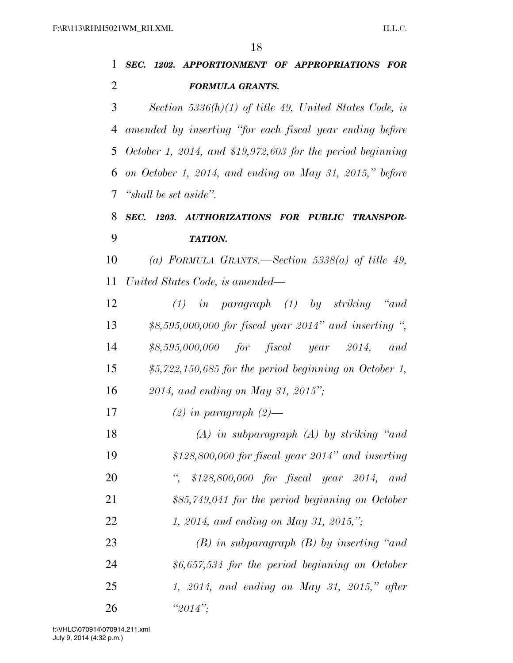| $\mathbf{1}$   | SEC. 1202. APPORTIONMENT OF APPROPRIATIONS FOR                |  |  |
|----------------|---------------------------------------------------------------|--|--|
| $\overline{2}$ | <b>FORMULA GRANTS.</b>                                        |  |  |
| 3              | Section 5336(h)(1) of title 49, United States Code, is        |  |  |
| 4              | amended by inserting "for each fiscal year ending before      |  |  |
|                | 5 October 1, 2014, and $$19,972,603$ for the period beginning |  |  |
| 6              | on October 1, 2014, and ending on May 31, 2015," before       |  |  |
| $\tau$         | "shall be set aside".                                         |  |  |
| 8              | SEC. 1203. AUTHORIZATIONS FOR PUBLIC TRANSPOR-                |  |  |
| 9              | <b>TATION.</b>                                                |  |  |
| 10             | (a) FORMULA GRANTS.—Section 5338(a) of title 49,              |  |  |
| 11             | United States Code, is amended—                               |  |  |
| 12             | $(1)$ in paragraph $(1)$ by striking "and                     |  |  |
| 13             | $$8,595,000,000$ for fiscal year 2014" and inserting ",       |  |  |
| 14             | $$8,595,000,000$ for fiscal year 2014, and                    |  |  |
| 15             | $$5,722,150,685$ for the period beginning on October 1,       |  |  |
| 16             | 2014, and ending on May 31, 2015";                            |  |  |
| 17             | $(2)$ in paragraph $(2)$ —                                    |  |  |
| 18             | $(A)$ in subparagraph $(A)$ by striking "and                  |  |  |
| 19             | $$128,800,000$ for fiscal year 2014" and inserting            |  |  |
| 20             | $\lq,$<br>\$128,800,000 for fiscal year 2014, and             |  |  |
| 21             | $$85,749,041$ for the period beginning on October             |  |  |
| 22             | 1, 2014, and ending on May 31, 2015,";                        |  |  |
| 23             | $(B)$ in subparagraph $(B)$ by inserting "and"                |  |  |
| 24             | $$6,657,534$ for the period beginning on October              |  |  |
| 25             | 1, 2014, and ending on May 31, 2015," after                   |  |  |
| 26             | " $2014$ ";                                                   |  |  |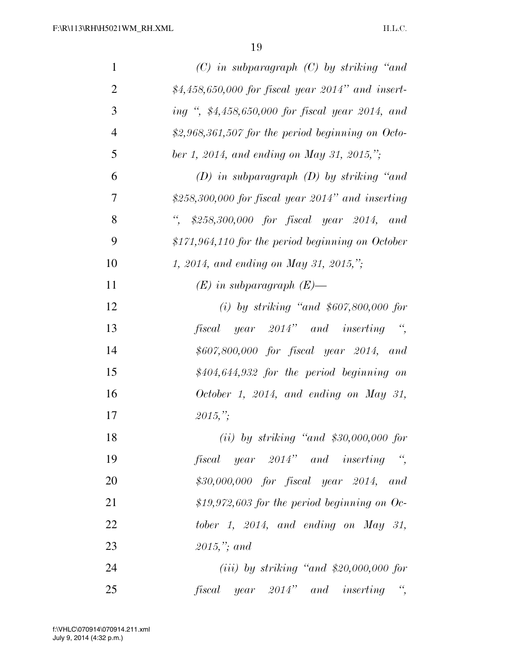| $\mathbf{1}$   | $(C)$ in subparagraph $(C)$ by striking "and                    |
|----------------|-----------------------------------------------------------------|
| $\overline{2}$ | \$4,458,650,000 for fiscal year 2014" and insert-               |
| 3              | ing ", \$4,458,650,000 for fiscal year 2014, and                |
| $\overline{4}$ | \$2,968,361,507 for the period beginning on Octo-               |
| 5              | ber 1, 2014, and ending on May 31, 2015,";                      |
| 6              | $(D)$ in subparagraph $(D)$ by striking "and                    |
| 7              | $$258,300,000$ for fiscal year $2014"$ and inserting            |
| 8              | $\frac{a}{\sqrt{2}}$<br>\$258,300,000 for fiscal year 2014, and |
| 9              | $$171,964,110$ for the period beginning on October              |
| 10             | 1, 2014, and ending on May 31, 2015,";                          |
| 11             | $(E)$ in subparagraph $(E)$ —                                   |
| 12             | (i) by striking "and $$607,800,000$ for                         |
| 13             | $\frac{a}{2}$<br>fiscal year 2014" and inserting                |
| 14             | \$607,800,000 for fiscal year 2014, and                         |
| 15             | $$404,644,932$ for the period beginning on                      |
| 16             | October 1, 2014, and ending on May 31,                          |
| 17             | $2015,$ ";                                                      |
| 18             | $(ii)$ by striking "and \$30,000,000 for                        |
| 19             | fiscal year 2014" and inserting ",                              |
| 20             | $$30,000,000$ for fiscal year 2014, and                         |
| 21             | \$19,972,603 for the period beginning on Oc-                    |
| 22             | tober 1, 2014, and ending on May 31,                            |
| 23             | $2015$ ,"; and                                                  |
| 24             | $(iii)$ by striking "and \$20,000,000 for                       |
| 25             | $f is cal \ year \ 2014" \ and \ inserting "$                   |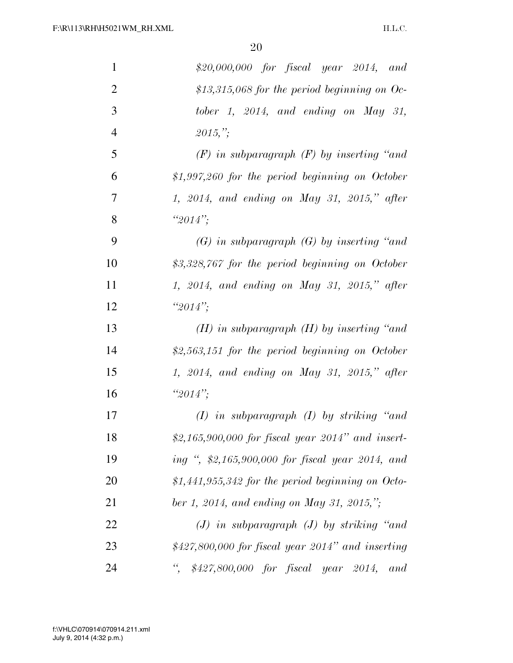| $\mathbf{1}$   | $$20,000,000$ for fiscal year $2014$ , and               |
|----------------|----------------------------------------------------------|
| $\overline{2}$ | \$13,315,068 for the period beginning on Oc-             |
| 3              | tober 1, 2014, and ending on May 31,                     |
| $\overline{4}$ | 2015,"                                                   |
| 5              | $(F)$ in subparagraph $(F)$ by inserting "and"           |
| 6              | $$1,997,260$ for the period beginning on October         |
| $\overline{7}$ | 1, 2014, and ending on May 31, 2015," after              |
| 8              | " $2014$ ";                                              |
| 9              | $(G)$ in subparagraph $(G)$ by inserting "and"           |
| 10             | \$3,328,767 for the period beginning on October          |
| 11             | 1, 2014, and ending on May 31, 2015," after              |
| 12             | $"2014"$ ;                                               |
| 13             | $(H)$ in subparagraph $(H)$ by inserting "and"           |
| 14             | \$2,563,151 for the period beginning on October          |
| 15             | 1, 2014, and ending on May 31, 2015," after              |
| 16             | " $2014$ ";                                              |
| 17             | $(I)$ in subparagraph $(I)$ by striking "and"            |
| 18             | \$2,165,900,000 for fiscal year $2014"$ and insert-      |
| 19             | ing ", \$2,165,900,000 for fiscal year 2014, and         |
| 20             | \$1,441,955,342 for the period beginning on Octo-        |
| 21             | ber 1, 2014, and ending on May 31, 2015,";               |
| 22             | $(J)$ in subparagraph $(J)$ by striking "and             |
| 23             | $$427,800,000$ for fiscal year 2014" and inserting       |
| 24             | $\epsilon$<br>\$427,800,000 for fiscal year 2014,<br>and |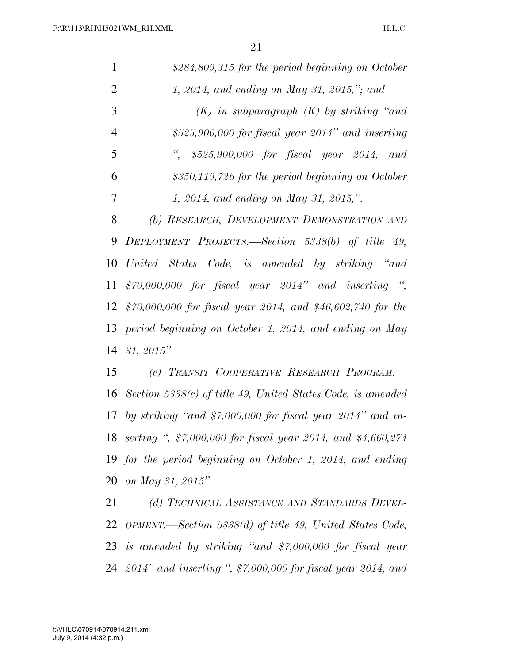| 1              | \$284,809,315 for the period beginning on October               |  |  |
|----------------|-----------------------------------------------------------------|--|--|
| $\overline{2}$ | 1, 2014, and ending on May 31, 2015,"; and                      |  |  |
| 3              | $(K)$ in subparagraph $(K)$ by striking "and                    |  |  |
| $\overline{4}$ | $$525,900,000$ for fiscal year 2014" and inserting              |  |  |
| 5              | $$525,900,000$ for fiscal year 2014, and                        |  |  |
| 6              | $$350,119,726$ for the period beginning on October              |  |  |
| 7              | 1, 2014, and ending on May 31, 2015,".                          |  |  |
| 8              | (b) RESEARCH, DEVELOPMENT DEMONSTRATION AND                     |  |  |
| 9              | DEPLOYMENT PROJECTS.—Section 5338(b) of title 49,               |  |  |
| 10             | United States Code, is amended by striking "and                 |  |  |
| 11             | $$70,000,000$ for fiscal year $2014"$ and inserting "           |  |  |
| 12             | $$70,000,000$ for fiscal year 2014, and \$46,602,740 for the    |  |  |
| 13             | period beginning on October 1, 2014, and ending on May          |  |  |
| 14             | $31, 2015$ ".                                                   |  |  |
| 15             | (c) TRANSIT COOPERATIVE RESEARCH PROGRAM.                       |  |  |
| 16             | Section 5338 $(c)$ of title 49, United States Code, is amended  |  |  |
|                | 17 by striking "and $$7,000,000$ for fiscal year 2014" and in-  |  |  |
|                | 18 serting ", \$7,000,000 for fiscal year 2014, and \$4,660,274 |  |  |
|                | 19 for the period beginning on October 1, 2014, and ending      |  |  |
|                | 20 on May 31, 2015".                                            |  |  |
| 21             | (d) TECHNICAL ASSISTANCE AND STANDARDS DEVEL-                   |  |  |

 *(d) TECHNICAL ASSISTANCE AND STANDARDS DEVEL- OPMENT.—Section 5338(d) of title 49, United States Code, is amended by striking ''and \$7,000,000 for fiscal year 2014'' and inserting '', \$7,000,000 for fiscal year 2014, and*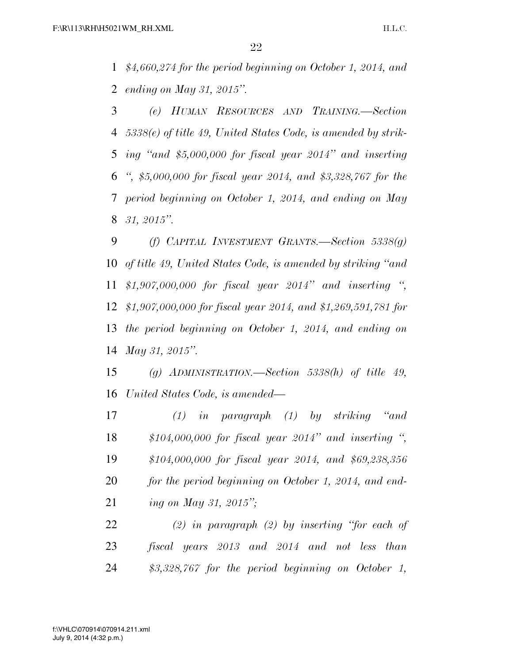*\$4,660,274 for the period beginning on October 1, 2014, and ending on May 31, 2015''.* 

 *(e) HUMAN RESOURCES AND TRAINING.—Section 5338(e) of title 49, United States Code, is amended by strik- ing ''and \$5,000,000 for fiscal year 2014'' and inserting '', \$5,000,000 for fiscal year 2014, and \$3,328,767 for the period beginning on October 1, 2014, and ending on May 31, 2015''.* 

 *(f) CAPITAL INVESTMENT GRANTS.—Section 5338(g) of title 49, United States Code, is amended by striking ''and \$1,907,000,000 for fiscal year 2014'' and inserting '', \$1,907,000,000 for fiscal year 2014, and \$1,269,591,781 for the period beginning on October 1, 2014, and ending on May 31, 2015''.* 

 *(g) ADMINISTRATION.—Section 5338(h) of title 49, United States Code, is amended—* 

 *(1) in paragraph (1) by striking ''and \$104,000,000 for fiscal year 2014'' and inserting '', \$104,000,000 for fiscal year 2014, and \$69,238,356 for the period beginning on October 1, 2014, and end-ing on May 31, 2015'';* 

 *(2) in paragraph (2) by inserting ''for each of fiscal years 2013 and 2014 and not less than \$3,328,767 for the period beginning on October 1,*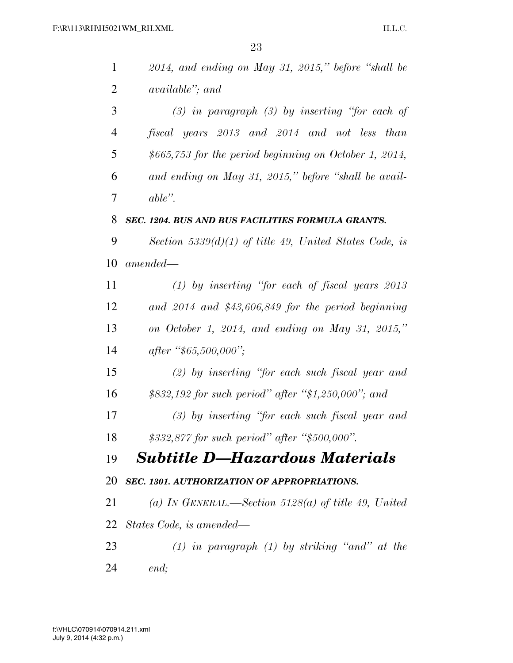| $\mathbf{1}$   | $2014$ , and ending on May 31, 2015," before "shall be    |
|----------------|-----------------------------------------------------------|
| $\overline{2}$ | <i>available''; and</i>                                   |
| 3              | $(3)$ in paragraph $(3)$ by inserting "for each of        |
| $\overline{4}$ | fiscal years 2013 and 2014 and not less than              |
| 5              | $$665,753$ for the period beginning on October 1, 2014,   |
| 6              | and ending on May 31, 2015," before "shall be avail-      |
| 7              | $able$ ".                                                 |
| 8              | SEC. 1204. BUS AND BUS FACILITIES FORMULA GRANTS.         |
| 9              | Section 5339 $(d)(1)$ of title 49, United States Code, is |
| 10             | $amended -$                                               |
| 11             | $(1)$ by inserting "for each of fiscal years 2013         |
| 12             | and $2014$ and \$43,606,849 for the period beginning      |
| 13             | on October 1, 2014, and ending on May 31, 2015,"          |
| 14             | after "\$65,500,000";                                     |
| 15             | $(2)$ by inserting "for each such fiscal year and         |
| 16             | \$832,192 for such period" after "\$1,250,000"; and       |
| 17             | $(3)$ by inserting "for each such fiscal year and         |
| 18             | \$332,877 for such period" after "\$500,000".             |
| 19             | <b>Subtitle D-Hazardous Materials</b>                     |
| 20             | SEC. 1301. AUTHORIZATION OF APPROPRIATIONS.               |
| 21             | (a) IN GENERAL.—Section 5128(a) of title 49, United       |
|                | 22 States Code, is amended—                               |
| 23             | $(1)$ in paragraph $(1)$ by striking "and" at the         |
| 24             | end;                                                      |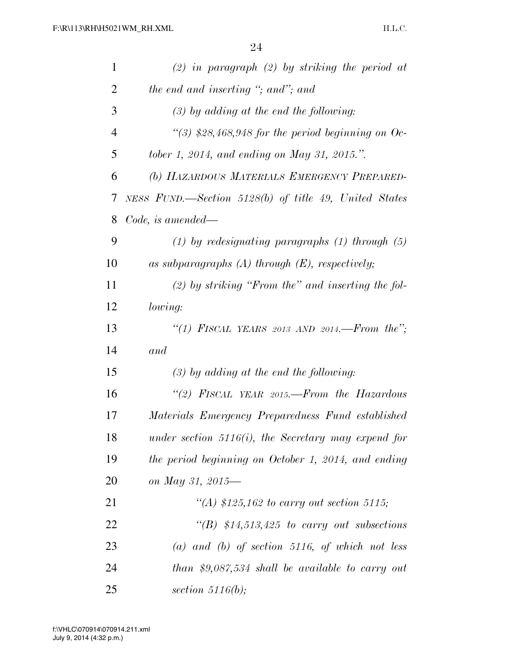| $\mathbf{1}$   | $(2)$ in paragraph $(2)$ by striking the period at     |
|----------------|--------------------------------------------------------|
| $\overline{2}$ | the end and inserting "; and"; and                     |
| 3              | $(3)$ by adding at the end the following:              |
| $\overline{4}$ | "(3) \$28,468,948 for the period beginning on Oc-      |
| 5              | tober 1, 2014, and ending on May 31, 2015.".           |
| 6              | (b) HAZARDOUS MATERIALS EMERGENCY PREPARED-            |
| 7              | NESS FUND.—Section 5128(b) of title 49, United States  |
| 8              | $Code, is \ amended.$                                  |
| 9              | $(1)$ by redesignating paragraphs $(1)$ through $(5)$  |
| 10             | as subparagraphs $(A)$ through $(E)$ , respectively;   |
| 11             | $(2)$ by striking "From the" and inserting the fol-    |
| 12             | lowing:                                                |
| 13             | "(1) FISCAL YEARS 2013 AND 2014.—From the";            |
| 14             | and                                                    |
| 15             | $(3)$ by adding at the end the following:              |
| 16             | "(2) FISCAL YEAR 2015.—From the Hazardous              |
| 17             | Materials Emergency Preparedness Fund established      |
| 18             | under section $5116(i)$ , the Secretary may expend for |
| 19             | the period beginning on October 1, 2014, and ending    |
| 20             | on May 31, 2015-                                       |
| 21             | "(A) $$125,162$ to carry out section 5115;             |
| 22             | $\lq\lq B$ \$14,513,425 to carry out subsections       |
| 23             | (a) and (b) of section 5116, of which not less         |
| 24             | than \$9,087,534 shall be available to carry out       |
| 25             | section 5116(b);                                       |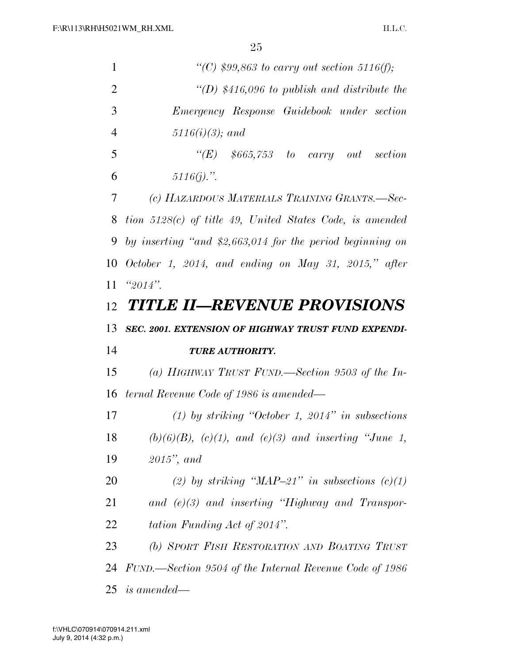| 1              | "(C) $$99,863$ to carry out section 5116(f);                 |  |
|----------------|--------------------------------------------------------------|--|
| $\overline{2}$ | "(D) $$416,096$ to publish and distribute the                |  |
| 3              | Emergency Response Guidebook under section                   |  |
| $\overline{4}$ | $5116(i)(3);$ and                                            |  |
| 5              | $\lq\lq(E)$ \$665,753 to carry out section                   |  |
| 6              | $5116(j).$ ".                                                |  |
| 7              | (c) HAZARDOUS MATERIALS TRAINING GRANTS.-Sec-                |  |
| 8              | tion $5128(c)$ of title 49, United States Code, is amended   |  |
| 9              | by inserting "and $$2,663,014$ for the period beginning on   |  |
| 10             | October 1, 2014, and ending on May 31, 2015," after          |  |
| 11             | $"2014"$ .                                                   |  |
|                | 12 TITLE II—REVENUE PROVISIONS                               |  |
| 13             | SEC. 2001. EXTENSION OF HIGHWAY TRUST FUND EXPENDI-          |  |
| 14             | TURE AUTHORITY.                                              |  |
| 15             | (a) HIGHWAY TRUST FUND.—Section 9503 of the In-              |  |
| 16             | ternal Revenue Code of 1986 is amended—                      |  |
| 17             | (1) by striking "October 1, 2014" in subsections             |  |
| 18             | $(b)(6)(B)$ , $(c)(1)$ , and $(e)(3)$ and inserting "June 1, |  |
| 19             | $2015$ ", and                                                |  |
| 20             | (2) by striking "MAP-21" in subsections $(c)(1)$             |  |
| 21             | and $(e)(3)$ and inserting "Highway and Transpor-            |  |
| 22             | tation Funding Act of 2014".                                 |  |
| 23             | (b) SPORT FISH RESTORATION AND BOATING TRUST                 |  |
| 24             | FUND.—Section 9504 of the Internal Revenue Code of 1986      |  |
|                | $25$ is amended—                                             |  |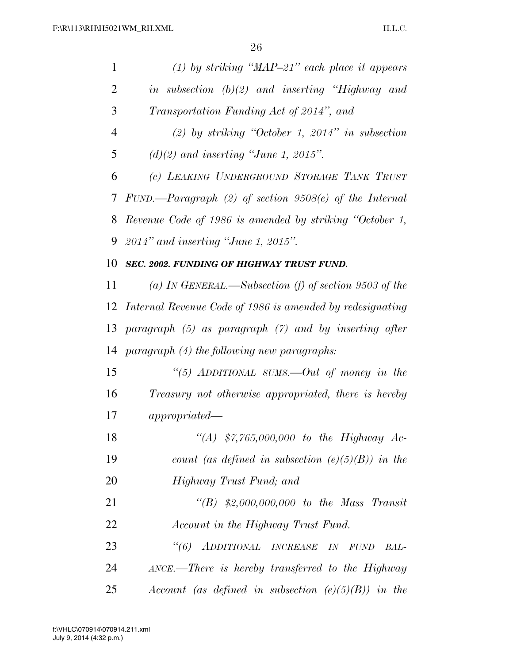| 1              | $(1)$ by striking "MAP-21" each place it appears             |  |  |
|----------------|--------------------------------------------------------------|--|--|
| $\overline{2}$ | in subsection $(b)(2)$ and inserting "Highway and            |  |  |
| 3              | Transportation Funding Act of 2014", and                     |  |  |
| $\overline{4}$ | $(2)$ by striking "October 1, 2014" in subsection            |  |  |
| 5              | $(d)(2)$ and inserting "June 1, 2015".                       |  |  |
| 6              | (c) LEAKING UNDERGROUND STORAGE TANK TRUST                   |  |  |
| 7              | FUND.—Paragraph $(2)$ of section 9508 $(e)$ of the Internal  |  |  |
| 8              | Revenue Code of 1986 is amended by striking "October 1,      |  |  |
| 9              | $2014$ " and inserting "June 1, 2015".                       |  |  |
| 10             | SEC. 2002. FUNDING OF HIGHWAY TRUST FUND.                    |  |  |
| 11             | (a) IN GENERAL.—Subsection (f) of section 9503 of the        |  |  |
|                | 12 Internal Revenue Code of 1986 is amended by redesignating |  |  |
| 13             | paragraph $(5)$ as paragraph $(7)$ and by inserting after    |  |  |
| 14             | $paramph (4)$ the following new paragraphs:                  |  |  |
| 15             | "(5) ADDITIONAL SUMS.—Out of money in the                    |  |  |
| 16             | Treasury not otherwise appropriated, there is hereby         |  |  |
| 17             | appronried                                                   |  |  |
| 18             | "(A) $$7,765,000,000$ to the Highway Ac-                     |  |  |
| 19             | count (as defined in subsection $(e)(5)(B)$ ) in the         |  |  |
| 20             | Highway Trust Fund; and                                      |  |  |
| 21             | "(B) $$2,000,000,000$ to the Mass Transit                    |  |  |
| 22             | Account in the Highway Trust Fund.                           |  |  |
| 23             | "(6) ADDITIONAL INCREASE IN<br><b>FUND</b><br>BAL-           |  |  |
| 24             | ANCE.—There is hereby transferred to the Highway             |  |  |
| 25             | Account (as defined in subsection $(e)(5)(B)$ ) in the       |  |  |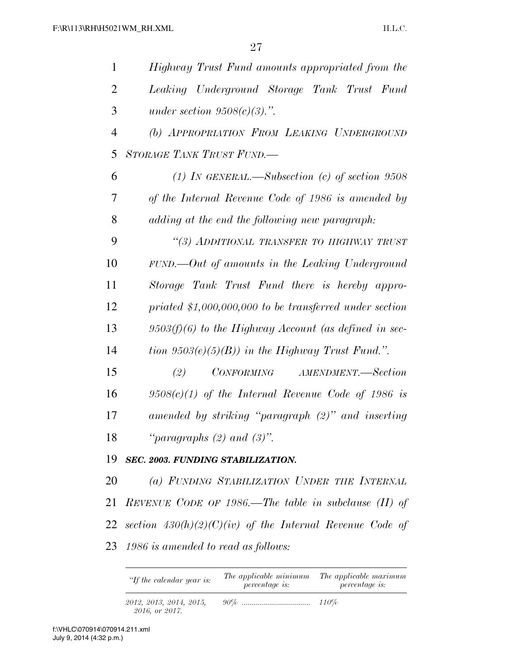| $\mathbf{1}$   | Highway Trust Fund amounts appropriated from the           |  |  |  |
|----------------|------------------------------------------------------------|--|--|--|
| $\overline{2}$ | Leaking Underground Storage Tank Trust Fund                |  |  |  |
| 3              | under section $9508(c)(3)$ .".                             |  |  |  |
| $\overline{4}$ | (b) APPROPRIATION FROM LEAKING UNDERGROUND                 |  |  |  |
| 5              | STORAGE TANK TRUST FUND.                                   |  |  |  |
| 6              | (1) IN GENERAL.—Subsection (c) of section $9508$           |  |  |  |
| 7              | of the Internal Revenue Code of 1986 is amended by         |  |  |  |
| 8              | adding at the end the following new paragraph:             |  |  |  |
| 9              | "(3) ADDITIONAL TRANSFER TO HIGHWAY TRUST                  |  |  |  |
| 10             | $FUND.$ $-Out$ of amounts in the Leaking Underground       |  |  |  |
| 11             | Storage Tank Trust Fund there is hereby appro-             |  |  |  |
| 12             | priated $$1,000,000,000$ to be transferred under section   |  |  |  |
| 13             | $9503(f)(6)$ to the Highway Account (as defined in sec-    |  |  |  |
| 14             | tion $9503(e)(5)(B)$ in the Highway Trust Fund.".          |  |  |  |
| 15             | (2)<br>CONFORMING AMENDMENT.—Section                       |  |  |  |
| 16             | $9508(c)(1)$ of the Internal Revenue Code of 1986 is       |  |  |  |
| 17             | amended by striking "paragraph (2)" and inserting          |  |  |  |
| 18             | "paragraphs $(2)$ and $(3)$ ".                             |  |  |  |
| 19             | SEC. 2003. FUNDING STABILIZATION.                          |  |  |  |
| 20             | (a) FUNDING STABILIZATION UNDER THE INTERNAL               |  |  |  |
| 21             | REVENUE CODE OF 1986.—The table in subclause (II) of       |  |  |  |
| 22             | section $430(h)(2)(C)(iv)$ of the Internal Revenue Code of |  |  |  |
| 23             | 1986 is amended to read as follows:                        |  |  |  |

| "If the calendar year is: | The applicable minimum<br><i>percentage is:</i> | The applicable maximum<br><i>percentage is:</i> |
|---------------------------|-------------------------------------------------|-------------------------------------------------|
| 2012, 2013, 2014, 2015,   |                                                 |                                                 |

*2016, or 2017.*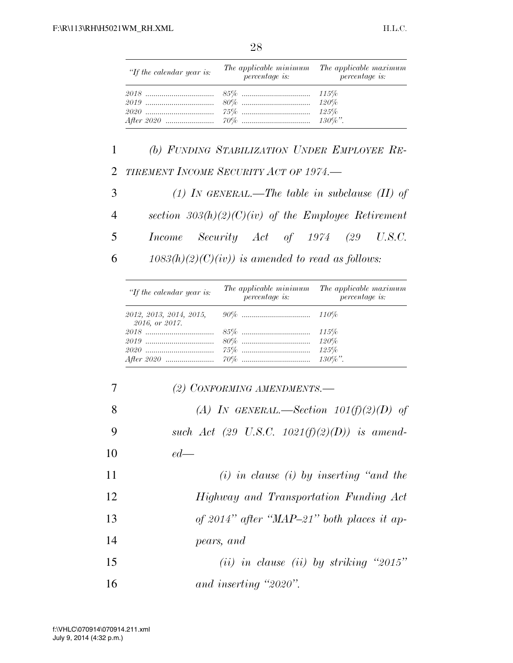| œ<br>I<br>v<br>v.<br>۰ |  |
|------------------------|--|
|------------------------|--|

| "If the calendar year is: | $\tilde{p}$ <i>percentage is:</i> | The applicable minimum The applicable maximum<br><i>percentage is:</i> |
|---------------------------|-----------------------------------|------------------------------------------------------------------------|
|                           |                                   |                                                                        |
|                           |                                   |                                                                        |
|                           |                                   |                                                                        |
|                           |                                   |                                                                        |

1 *(b) FUNDING STABILIZATION UNDER EMPLOYEE RE-*2 *TIREMENT INCOME SECURITY ACT OF 1974.—* 

3 *(1) IN GENERAL.—The table in subclause (II) of*  4 *section 303(h)(2)(C)(iv) of the Employee Retirement*  5 *Income Security Act of 1974 (29 U.S.C.* 

6  $1083(h)(2)(C)(iv)$  is amended to read as follows:

| "If the calendar year is: | The applicable minimum<br><i>percentage is:</i> | The applicable maximum<br>percentage is: |  |  |
|---------------------------|-------------------------------------------------|------------------------------------------|--|--|
| 2016, or 2017.            |                                                 |                                          |  |  |
|                           |                                                 |                                          |  |  |
|                           |                                                 | 120%                                     |  |  |
|                           |                                                 | 125%                                     |  |  |
|                           |                                                 |                                          |  |  |

| $\overline{7}$ | (2) CONFORMING AMENDMENTS.-                      |
|----------------|--------------------------------------------------|
| 8              | (A) IN GENERAL.—Section $101(f)(2)(D)$ of        |
| 9              | such Act (29 U.S.C. 1021 $(f)(2)(D)$ ) is amend- |
| 10             | $ed$ —                                           |
| 11             | $(i)$ in clause $(i)$ by inserting "and the      |
| 12             | Highway and Transportation Funding Act           |
| 13             | of 2014" after "MAP-21" both places it ap-       |
| 14             | pears, and                                       |
| 15             | (ii) in clause (ii) by striking "2015"           |
| 16             | and inserting "2020".                            |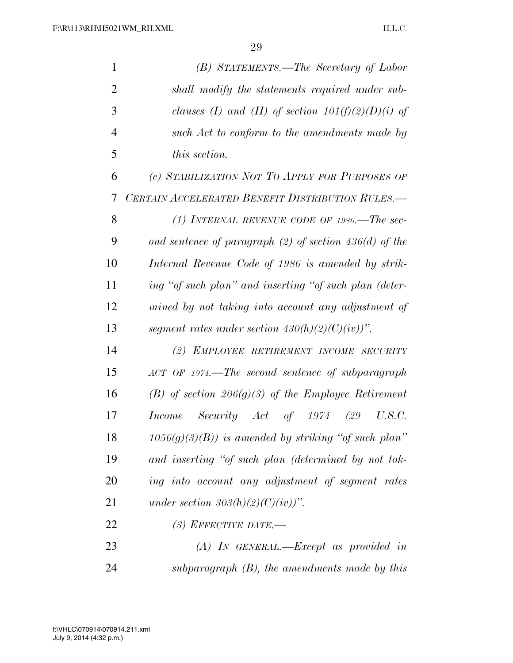| $\mathbf{1}$   | (B) STATEMENTS.—The Secretary of Labor                   |  |  |  |  |  |
|----------------|----------------------------------------------------------|--|--|--|--|--|
| $\overline{2}$ | shall modify the statements required under sub-          |  |  |  |  |  |
| 3              | clauses (I) and (II) of section $101(f)(2)(D)(i)$ of     |  |  |  |  |  |
| $\overline{4}$ | such Act to conform to the amendments made by            |  |  |  |  |  |
| 5              | this section.                                            |  |  |  |  |  |
| 6              | (c) STABILIZATION NOT TO APPLY FOR PURPOSES OF           |  |  |  |  |  |
| 7              | CERTAIN ACCELERATED BENEFIT DISTRIBUTION RULES.-         |  |  |  |  |  |
| 8              | (1) INTERNAL REVENUE CODE OF 1986.—The sec-              |  |  |  |  |  |
| 9              | ond sentence of paragraph $(2)$ of section 436(d) of the |  |  |  |  |  |
| 10             | Internal Revenue Code of 1986 is amended by strik-       |  |  |  |  |  |
| 11             | ing "of such plan" and inserting "of such plan (deter-   |  |  |  |  |  |
| 12             | mined by not taking into account any adjustment of       |  |  |  |  |  |
| 13             | segment rates under section $430(h)(2)(C)(iv))$ ".       |  |  |  |  |  |
| 14             | (2) EMPLOYEE RETIREMENT INCOME SECURITY                  |  |  |  |  |  |
| 15             | ACT OF 1974.—The second sentence of subparagraph         |  |  |  |  |  |
| 16             | (B) of section 206(g)(3) of the Employee Retirement      |  |  |  |  |  |
| 17             | Income Security Act of 1974<br>(29)<br>U.S.C.            |  |  |  |  |  |
| 18             | $1056(g)(3)(B)$ ) is amended by striking "of such plan"  |  |  |  |  |  |
| 19             | and inserting "of such plan (determined by not tak-      |  |  |  |  |  |
| <b>20</b>      | ing into account any adjustment of segment rates         |  |  |  |  |  |
| 21             | under section $303(h)(2)(C)(iv))$ ".                     |  |  |  |  |  |
| 22             | (3) EFFECTIVE DATE.—                                     |  |  |  |  |  |
| 23             | $(A)$ IN GENERAL.—Except as provided in                  |  |  |  |  |  |
| 24             | subparagraph $(B)$ , the amendments made by this         |  |  |  |  |  |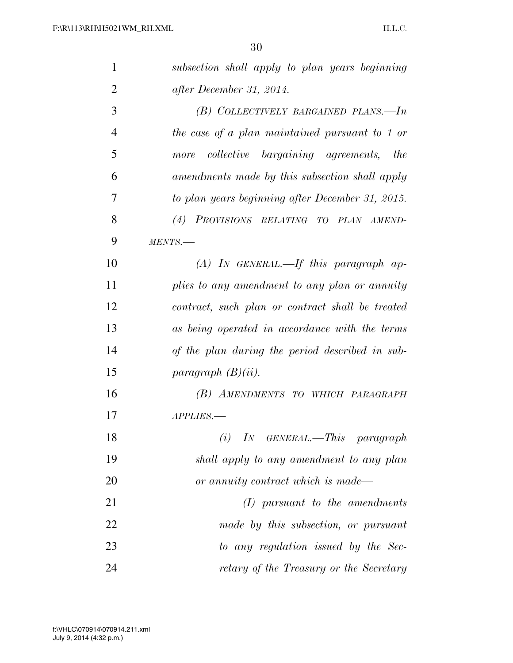| $\mathbf{1}$   | subsection shall apply to plan years beginning   |
|----------------|--------------------------------------------------|
| $\overline{2}$ | after December 31, 2014.                         |
| 3              | (B) COLLECTIVELY BARGAINED PLANS.—In             |
| $\overline{4}$ | the case of a plan maintained pursuant to 1 or   |
| 5              | more collective bargaining agreements, the       |
| 6              | amendments made by this subsection shall apply   |
| 7              | to plan years beginning after December 31, 2015. |
| 8              | (4) PROVISIONS RELATING TO PLAN AMEND-           |
| 9              | MENTS.                                           |
| 10             | $(A)$ IN GENERAL.—If this paragraph ap-          |
| 11             | plies to any amendment to any plan or annuity    |
| 12             | contract, such plan or contract shall be treated |
| 13             | as being operated in accordance with the terms   |
| 14             | of the plan during the period described in sub-  |
| 15             | paragraph $(B)(ii)$ .                            |
| 16             | (B) AMENDMENTS TO WHICH PARAGRAPH                |
| 17             | APPLIES.-                                        |
| 18             | $(i)$ IN GENERAL.—This paragraph                 |
| 19             | shall apply to any amendment to any plan         |
| 20             | or annuity contract which is made-               |
| 21             | $(I)$ pursuant to the amendments                 |
| 22             | made by this subsection, or pursuant             |
| 23             | to any regulation issued by the Sec-             |
| 24             | retary of the Treasury or the Secretary          |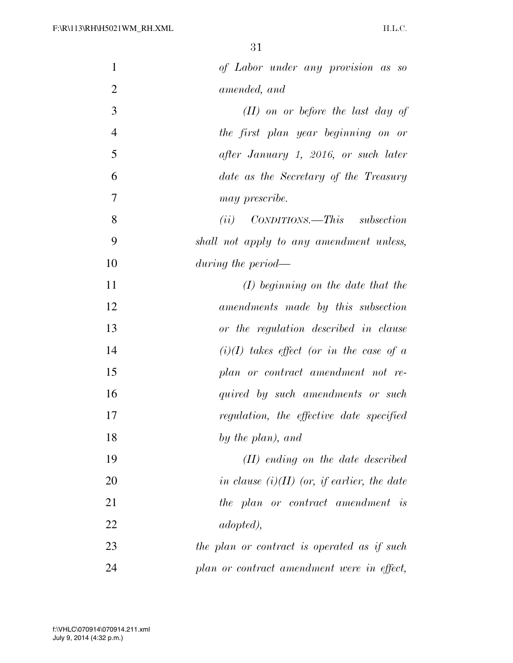| $\mathbf{1}$   | of Labor under any provision as so            |
|----------------|-----------------------------------------------|
| $\overline{2}$ | amended, and                                  |
| 3              | $(II)$ on or before the last day of           |
| $\overline{4}$ | the first plan year beginning on or           |
| 5              | after January 1, 2016, or such later          |
| 6              | date as the Secretary of the Treasury         |
| 7              | may prescribe.                                |
| 8              | $CONDITIONS. - This subsection$<br>(ii)       |
| 9              | shall not apply to any amendment unless,      |
| 10             | during the period—                            |
| 11             | $(I)$ beginning on the date that the          |
| 12             | amendments made by this subsection            |
| 13             | or the regulation described in clause         |
| 14             | $(i)(I)$ takes effect (or in the case of a    |
| 15             | plan or contract amendment not re-            |
| 16             | quired by such amendments or such             |
| 17             | regulation, the effective date specified      |
| 18             | by the plan), and                             |
| 19             | $(II)$ ending on the date described           |
| 20             | in clause $(i)(II)$ (or, if earlier, the date |
| 21             | the plan or contract amendment is             |
| 22             | <i>adopted</i> ),                             |
| 23             | the plan or contract is operated as if such   |
| 24             | plan or contract amendment were in effect,    |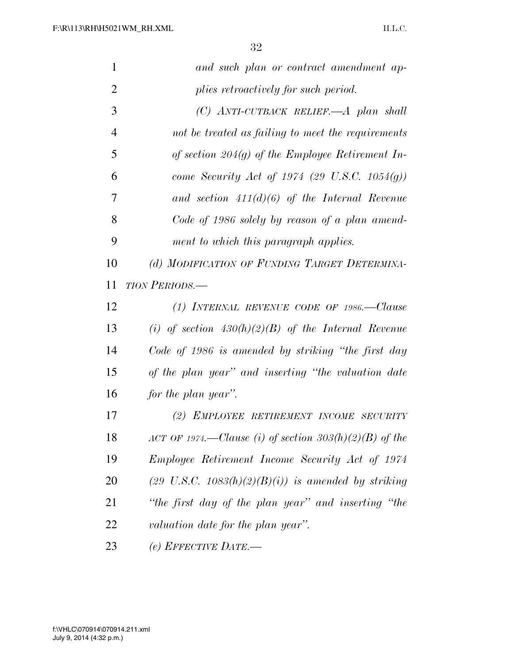| $\mathbf{1}$   | and such plan or contract amendment ap-                        |
|----------------|----------------------------------------------------------------|
| $\overline{2}$ | plies retroactively for such period.                           |
| 3              | $(C)$ ANTI-CUTBACK RELIEF.—A plan shall                        |
| $\overline{4}$ | not be treated as failing to meet the requirements             |
| 5              | of section 204 $(g)$ of the Employee Retirement In-            |
| 6              | come Security Act of 1974 (29 U.S.C. 1054(g))                  |
| 7              | and section $411(d)(6)$ of the Internal Revenue                |
| 8              | Code of 1986 solely by reason of a plan amend-                 |
| 9              | ment to which this paragraph applies.                          |
| 10             | (d) MODIFICATION OF FUNDING TARGET DETERMINA-                  |
| 11             | <b>TION PERIODS.—</b>                                          |
| 12             | (1) INTERNAL REVENUE CODE OF 1986.—Clause                      |
| 13             | (i) of section $430(h)(2)(B)$ of the Internal Revenue          |
| 14             | Code of 1986 is amended by striking "the first day             |
| 15             | of the plan year" and inserting "the valuation date            |
| 16             | for the plan year".                                            |
| 17             | (2) EMPLOYEE RETIREMENT INCOME SECURITY                        |
| 18             | ACT OF 1974.—Clause (i) of section $303(h)(2)(B)$ of the       |
| 19             | Employee Retirement Income Security Act of 1974                |
| <b>20</b>      | $(29 \text{ U.S.C. } 1083(h)(2)(B)(i))$ is amended by striking |
| 21             | "the first day of the plan year" and inserting "the            |
| 22             | valuation date for the plan year".                             |
| 23             | (e) EFFECTIVE DATE.-                                           |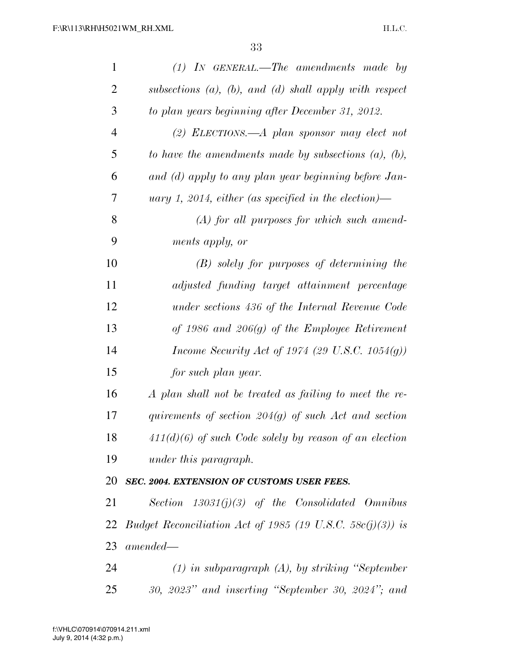| $\mathbf{1}$   | $(1)$ IN GENERAL.—The amendments made by                          |
|----------------|-------------------------------------------------------------------|
| $\overline{2}$ | subsections $(a)$ , $(b)$ , and $(d)$ shall apply with respect    |
| 3              | to plan years beginning after December 31, 2012.                  |
| $\overline{4}$ | (2) ELECTIONS.—A plan sponsor may elect not                       |
| 5              | to have the amendments made by subsections $(a)$ , $(b)$ ,        |
| 6              | and (d) apply to any plan year beginning before Jan-              |
| 7              | uary 1, 2014, either (as specified in the election)—              |
| 8              | $(A)$ for all purposes for which such amend-                      |
| 9              | ments apply, or                                                   |
| 10             | $(B)$ solely for purposes of determining the                      |
| 11             | adjusted funding target attainment percentage                     |
| 12             | under sections 436 of the Internal Revenue Code                   |
| 13             | of 1986 and 206 $(g)$ of the Employee Retirement                  |
| 14             | <i>Income Security Act of 1974 (29 U.S.C. 1054(g))</i>            |
| 15             | for such plan year.                                               |
| 16             | A plan shall not be treated as failing to meet the re-            |
| 17             | quirements of section $204(g)$ of such Act and section            |
| 18             | $411(d)(6)$ of such Code solely by reason of an election          |
| 19             | under this paragraph.                                             |
| 20             | SEC. 2004. EXTENSION OF CUSTOMS USER FEES.                        |
| 21             | Section $13031(j)(3)$ of the Consolidated Omnibus                 |
|                | 22 Budget Reconciliation Act of 1985 (19 U.S.C. 58 $c(j)(3)$ ) is |
| 23             | $amended-$                                                        |
| 24             | $(1)$ in subparagraph $(A)$ , by striking "September"             |
| 25             | $30, 2023"$ and inserting "September 30, 2024"; and               |